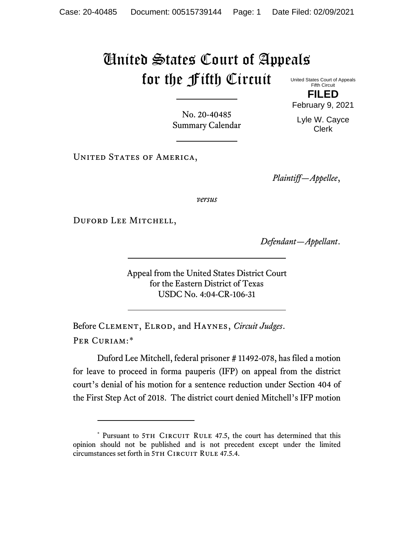## United States Court of Appeals for the Fifth Circuit

United States Court of Appeals Fifth Circuit **FILED**

February 9, 2021

Lyle W. Cayce Clerk

No. 20-40485 Summary Calendar

*Plaintiff—Appellee*,

*versus*

DUFORD LEE MITCHELL,

UNITED STATES OF AMERICA,

*Defendant—Appellant*.

Appeal from the United States District Court for the Eastern District of Texas USDC No. 4:04-CR-106-31

Before Clement, Elrod, and Haynes, *Circuit Judges*. Per Curiam:[\\*](#page-0-0)

Duford Lee Mitchell, federal prisoner # 11492-078, has filed a motion for leave to proceed in forma pauperis (IFP) on appeal from the district court's denial of his motion for a sentence reduction under Section 404 of the First Step Act of 2018. The district court denied Mitchell's IFP motion

<span id="page-0-0"></span><sup>\*</sup> Pursuant to 5TH CIRCUIT RULE 47.5, the court has determined that this opinion should not be published and is not precedent except under the limited circumstances set forth in 5TH CIRCUIT RULE 47.5.4.